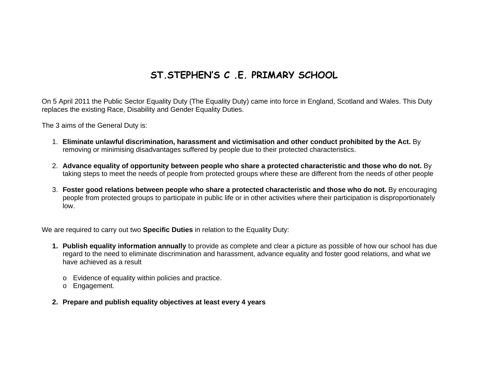## ST. STEPHEN'S C . F . PRIMARY SCHOOL

On 5 April 2011 the Public Sector Equality Duty (The Equality Duty) came into force in England, Scotland and Wales. This Duty replaces the existing Race, Disability and Gender Equality Duties.

The 3 aims of the General Duty is:

- 1. **Eliminate unlawful discrimination, harassment and victimisation and other conduct prohibited by the Act.** By removing or minimising disadvantages suffered by people due to their protected characteristics.
- 2. **Advance equality of opportunity between people who share a protected characteristic and those who do not.** By taking steps to meet the needs of people from protected groups where these are different from the needs of other people
- 3. **Foster good relations between people who share a protected characteristic and those who do not.** By encouraging people from protected groups to participate in public life or in other activities where their participation is disproportionately low.

We are required to carry out two **Specific Duties** in relation to the Equality Duty:

- **1. Publish equality information annually** to provide as complete and clear a picture as possible of how our school has due regard to the need to eliminate discrimination and harassment, advance equality and foster good relations, and what we have achieved as a result
	- <sup>o</sup> Evidence of equality within policies and practice.
	- <sup>o</sup> Engagement.
- **2. Prepare and publish equality objectives at least every 4 years**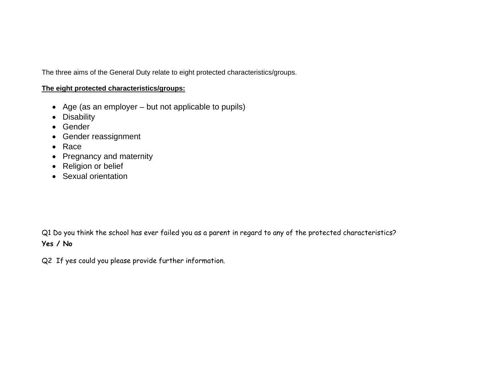The three aims of the General Duty relate to eight protected characteristics/groups.

## **The eight protected characteristics/groups:**

- Age (as an employer but not applicable to pupils)
- Disability
- Gender
- Gender reassignment
- $\bullet$  Race
- Pregnancy and maternity
- Religion or belief
- Sexual orientation

Q1 Do you think the school has ever failed you as a parent in regard to any of the protected characteristics? **Yes / No** 

Q2 If yes could you please provide further information.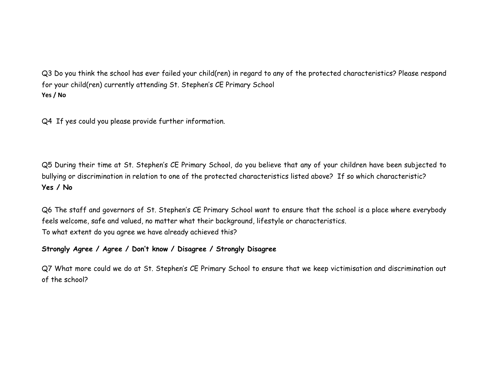Q3 Do you think the school has ever failed your child(ren) in regard to any of the protected characteristics? Please respond for your child(ren) currently attending St. Stephen's CE Primary School **Yes / No**

Q4 If yes could you please provide further information.

Q5 During their time at St. Stephen's CE Primary School, do you believe that any of your children have been subjected to bullying or discrimination in relation to one of the protected characteristics listed above? If so which characteristic? **Yes / No** 

Q6 The staff and governors of St. Stephen's CE Primary School want to ensure that the school is a place where everybody feels welcome, safe and valued, no matter what their background, lifestyle or characteristics. To what extent do you agree we have already achieved this?

## **Strongly Agree / Agree / Don't know / Disagree / Strongly Disagree**

Q7 What more could we do at St. Stephen's CE Primary School to ensure that we keep victimisation and discrimination out of the school?